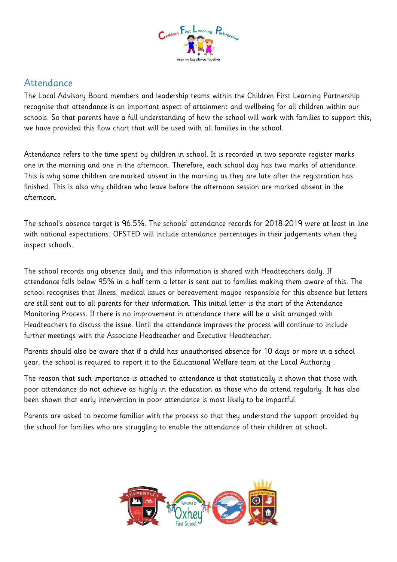

## Attendance

The Local Advisory Board members and leadership teams within the Children First Learning Partnership recognise that attendance is an important aspect of attainment and wellbeing for all children within our schools. So that parents have a full understanding of how the school will work with families to support this, we have provided this flow chart that will be used with all families in the school.

Attendance refers to the time spent by children in school. It is recorded in two separate register marks one in the morning and one in the afternoon. Therefore, each school day has two marks of attendance. This is why some children aremarked absent in the morning as they are late after the registration has finished. This is also why children who leave before the afternoon session are marked absent in the afternoon.

The school's absence target is 96.5%. The schools' attendance records for 2018-2019 were at least in line with national expectations. OFSTED will include attendance percentages in their judgements when they inspect schools.

The school records any absence daily and this information is shared with Headteachers daily. If attendance falls below 95% in a half term a letter is sent out to families making them aware of this. The school recognises that illness, medical issues or bereavement maybe responsible for this absence but letters are still sent out to all parents for their information. This initial letter is the start of the Attendance Monitoring Process. If there is no improvement in attendance there will be a visit arranged with Headteachers to discuss the issue. Until the attendance improves the process will continue to include further meetings with the Associate Headteacher and Executive Headteacher.

Parents should also be aware that if a child has unauthorised absence for 10 days or more in a school year, the school is required to report it to the Educational Welfare team at the Local Authority .

The reason that such importance is attached to attendance is that statistically it shown that those with poor attendance do not achieve as highly in the education as those who do attend regularly. It has also been shown that early intervention in poor attendance is most likely to be impactful.

Parents are asked to become familiar with the process so that they understand the support provided by the school for families who are struggling to enable the attendance of their children at school.